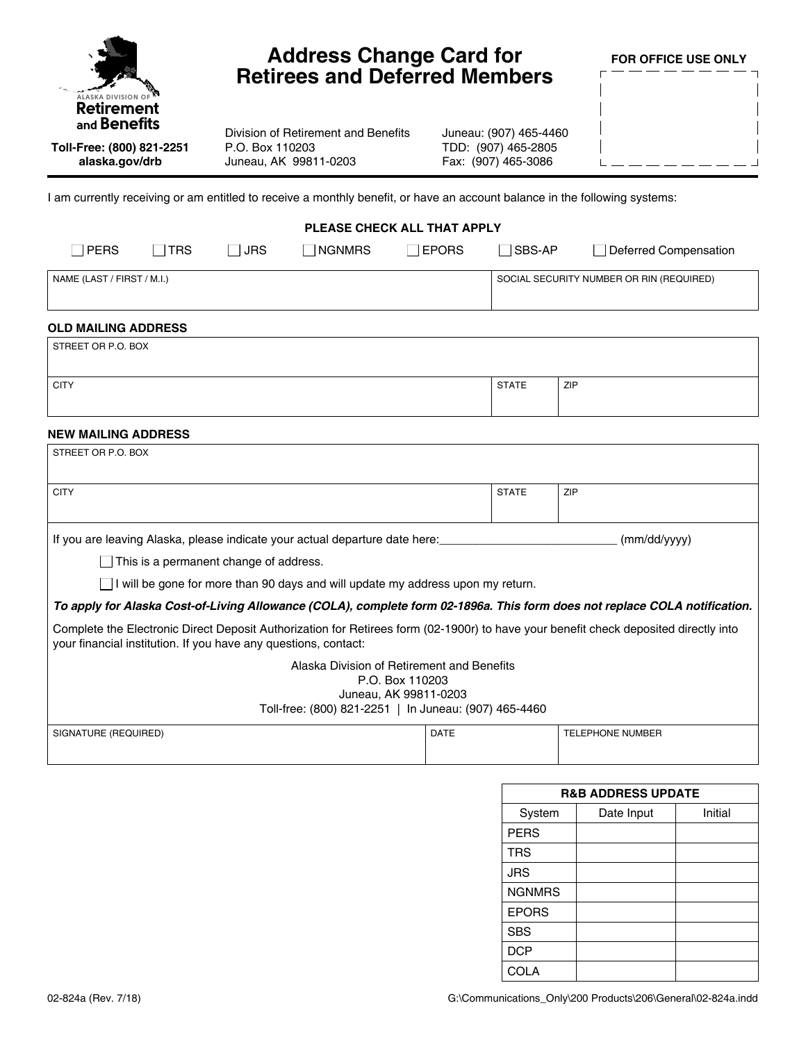| <b>ALASKA DIVISION OF</b> |
|---------------------------|
| Retirement                |
| and <b>Benefits</b>       |

**Toll-Free: (800) 821-2251 alaska.gov/drb**

## **Address Change Card for Retirees and Deferred Members**

**FOR OFFICE USE ONLY**

Division of Retirement and Benefits P.O. Box 110203 Juneau, AK 99811-0203

| Juneau: (907) 465-4460 |
|------------------------|
| TDD: (907) 465-2805    |
| Fax: (907) 465-3086    |

I am currently receiving or am entitled to receive a monthly benefit, or have an account balance in the following systems:

| PLEASE CHECK ALL THAT APPLY                                                                                                                                                                             |     |            |                                          |               |              |                         |
|---------------------------------------------------------------------------------------------------------------------------------------------------------------------------------------------------------|-----|------------|------------------------------------------|---------------|--------------|-------------------------|
| <b>PERS</b>                                                                                                                                                                                             | TRS | <b>JRS</b> | l NGNMRS                                 | <b>TEPORS</b> | SBS-AP       | Deferred Compensation   |
| NAME (LAST / FIRST / M.I.)                                                                                                                                                                              |     |            | SOCIAL SECURITY NUMBER OR RIN (REQUIRED) |               |              |                         |
|                                                                                                                                                                                                         |     |            |                                          |               |              |                         |
| <b>OLD MAILING ADDRESS</b>                                                                                                                                                                              |     |            |                                          |               |              |                         |
| STREET OR P.O. BOX                                                                                                                                                                                      |     |            |                                          |               |              |                         |
| <b>CITY</b>                                                                                                                                                                                             |     |            |                                          |               | <b>STATE</b> | ZIP                     |
| <b>NEW MAILING ADDRESS</b>                                                                                                                                                                              |     |            |                                          |               |              |                         |
| STREET OR P.O. BOX                                                                                                                                                                                      |     |            |                                          |               |              |                         |
| <b>CITY</b>                                                                                                                                                                                             |     |            |                                          |               | <b>STATE</b> | ZIP                     |
| If you are leaving Alaska, please indicate your actual departure date here:<br>(mm/dd/yyyy)                                                                                                             |     |            |                                          |               |              |                         |
| This is a permanent change of address.                                                                                                                                                                  |     |            |                                          |               |              |                         |
| $\Box$ I will be gone for more than 90 days and will update my address upon my return.                                                                                                                  |     |            |                                          |               |              |                         |
| To apply for Alaska Cost-of-Living Allowance (COLA), complete form 02-1896a. This form does not replace COLA notification.                                                                              |     |            |                                          |               |              |                         |
| Complete the Electronic Direct Deposit Authorization for Retirees form (02-1900r) to have your benefit check deposited directly into<br>your financial institution. If you have any questions, contact: |     |            |                                          |               |              |                         |
| Alaska Division of Retirement and Benefits<br>P.O. Box 110203<br>Juneau, AK 99811-0203<br>Toll-free: (800) 821-2251   In Juneau: (907) 465-4460                                                         |     |            |                                          |               |              |                         |
|                                                                                                                                                                                                         |     |            |                                          |               |              |                         |
| SIGNATURE (REQUIRED)                                                                                                                                                                                    |     |            |                                          | <b>DATE</b>   |              | <b>TELEPHONE NUMBER</b> |
|                                                                                                                                                                                                         |     |            |                                          |               |              |                         |

| <b>R&amp;B ADDRESS UPDATE</b> |            |         |  |  |  |
|-------------------------------|------------|---------|--|--|--|
| System                        | Date Input | Initial |  |  |  |
| <b>PERS</b>                   |            |         |  |  |  |
| <b>TRS</b>                    |            |         |  |  |  |
| <b>JRS</b>                    |            |         |  |  |  |
| <b>NGNMRS</b>                 |            |         |  |  |  |
| <b>EPORS</b>                  |            |         |  |  |  |
| <b>SBS</b>                    |            |         |  |  |  |
| <b>DCP</b>                    |            |         |  |  |  |
| COLA                          |            |         |  |  |  |